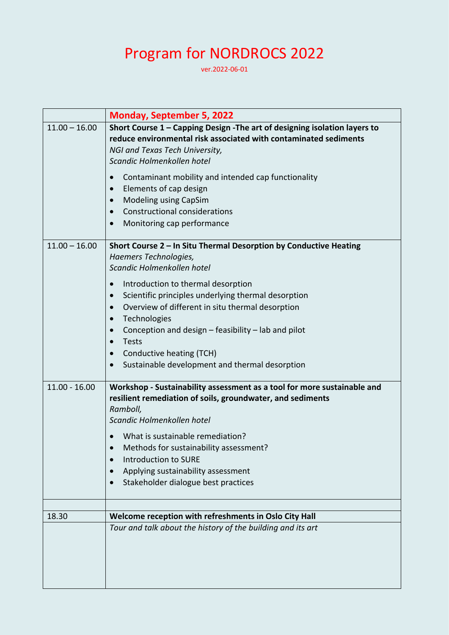## Program for NORDROCS 2022

ver.2022-06-01

|                 | <b>Monday, September 5, 2022</b>                                           |  |  |
|-----------------|----------------------------------------------------------------------------|--|--|
| $11.00 - 16.00$ | Short Course 1 - Capping Design - The art of designing isolation layers to |  |  |
|                 | reduce environmental risk associated with contaminated sediments           |  |  |
|                 | NGI and Texas Tech University,                                             |  |  |
|                 | Scandic Holmenkollen hotel                                                 |  |  |
|                 | Contaminant mobility and intended cap functionality<br>$\bullet$           |  |  |
|                 | Elements of cap design<br>$\bullet$                                        |  |  |
|                 | Modeling using CapSim<br>$\bullet$                                         |  |  |
|                 | <b>Constructional considerations</b><br>$\bullet$                          |  |  |
|                 | Monitoring cap performance<br>$\bullet$                                    |  |  |
| $11.00 - 16.00$ | Short Course 2 - In Situ Thermal Desorption by Conductive Heating          |  |  |
|                 | Haemers Technologies,                                                      |  |  |
|                 | Scandic Holmenkollen hotel                                                 |  |  |
|                 | Introduction to thermal desorption<br>$\bullet$                            |  |  |
|                 | Scientific principles underlying thermal desorption<br>$\bullet$           |  |  |
|                 | Overview of different in situ thermal desorption<br>$\bullet$              |  |  |
|                 | Technologies<br>$\bullet$                                                  |  |  |
|                 | Conception and design $-$ feasibility $-$ lab and pilot<br>$\bullet$       |  |  |
|                 | <b>Tests</b><br>$\bullet$                                                  |  |  |
|                 | Conductive heating (TCH)<br>$\bullet$                                      |  |  |
|                 | Sustainable development and thermal desorption<br>$\bullet$                |  |  |
| $11.00 - 16.00$ | Workshop - Sustainability assessment as a tool for more sustainable and    |  |  |
|                 | resilient remediation of soils, groundwater, and sediments                 |  |  |
|                 | Ramboll,                                                                   |  |  |
|                 | Scandic Holmenkollen hotel                                                 |  |  |
|                 | What is sustainable remediation?                                           |  |  |
|                 | Methods for sustainability assessment?                                     |  |  |
|                 | <b>Introduction to SURE</b>                                                |  |  |
|                 | Applying sustainability assessment                                         |  |  |
|                 | Stakeholder dialogue best practices                                        |  |  |
|                 |                                                                            |  |  |
| 18.30           | Welcome reception with refreshments in Oslo City Hall                      |  |  |
|                 | Tour and talk about the history of the building and its art                |  |  |
|                 |                                                                            |  |  |
|                 |                                                                            |  |  |
|                 |                                                                            |  |  |
|                 |                                                                            |  |  |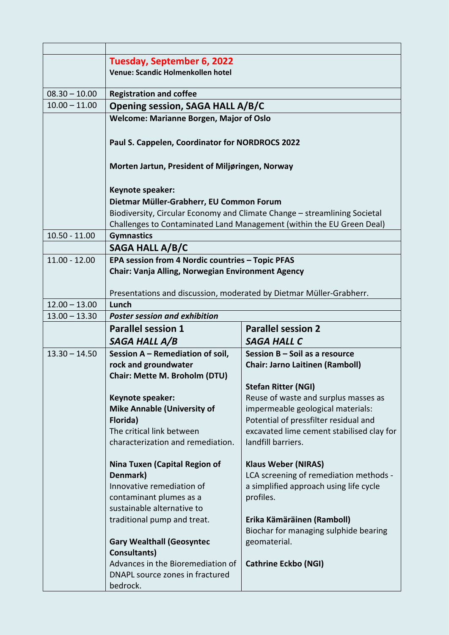|                 | Tuesday, September 6, 2022                                                                                            |                                                                            |  |
|-----------------|-----------------------------------------------------------------------------------------------------------------------|----------------------------------------------------------------------------|--|
|                 | Venue: Scandic Holmenkollen hotel                                                                                     |                                                                            |  |
| $08.30 - 10.00$ | <b>Registration and coffee</b>                                                                                        |                                                                            |  |
| $10.00 - 11.00$ | <b>Opening session, SAGA HALL A/B/C</b>                                                                               |                                                                            |  |
|                 | Welcome: Marianne Borgen, Major of Oslo                                                                               |                                                                            |  |
|                 |                                                                                                                       |                                                                            |  |
|                 | Paul S. Cappelen, Coordinator for NORDROCS 2022                                                                       |                                                                            |  |
|                 |                                                                                                                       |                                                                            |  |
|                 | Morten Jartun, President of Miljøringen, Norway                                                                       |                                                                            |  |
|                 |                                                                                                                       |                                                                            |  |
|                 | Keynote speaker:                                                                                                      |                                                                            |  |
|                 | Dietmar Müller-Grabherr, EU Common Forum<br>Biodiversity, Circular Economy and Climate Change - streamlining Societal |                                                                            |  |
|                 |                                                                                                                       | Challenges to Contaminated Land Management (within the EU Green Deal)      |  |
| $10.50 - 11.00$ | <b>Gymnastics</b>                                                                                                     |                                                                            |  |
|                 | SAGA HALL A/B/C                                                                                                       |                                                                            |  |
| $11.00 - 12.00$ | EPA session from 4 Nordic countries - Topic PFAS                                                                      |                                                                            |  |
|                 | Chair: Vanja Alling, Norwegian Environment Agency                                                                     |                                                                            |  |
|                 |                                                                                                                       |                                                                            |  |
| $12.00 - 13.00$ | Presentations and discussion, moderated by Dietmar Müller-Grabherr.<br>Lunch                                          |                                                                            |  |
| $13.00 - 13.30$ | <b>Poster session and exhibition</b>                                                                                  |                                                                            |  |
|                 | <b>Parallel session 2</b><br><b>Parallel session 1</b>                                                                |                                                                            |  |
|                 | SAGA HALL A/B                                                                                                         | <b>SAGA HALL C</b>                                                         |  |
| $13.30 - 14.50$ | Session A - Remediation of soil,                                                                                      | Session B - Soil as a resource                                             |  |
|                 | rock and groundwater                                                                                                  | <b>Chair: Jarno Laitinen (Ramboll)</b>                                     |  |
|                 | Chair: Mette M. Broholm (DTU)                                                                                         |                                                                            |  |
|                 |                                                                                                                       | <b>Stefan Ritter (NGI)</b>                                                 |  |
|                 | Keynote speaker:                                                                                                      | Reuse of waste and surplus masses as                                       |  |
|                 | <b>Mike Annable (University of</b><br>Florida)                                                                        | impermeable geological materials:<br>Potential of pressfilter residual and |  |
|                 | The critical link between                                                                                             | excavated lime cement stabilised clay for                                  |  |
|                 | characterization and remediation.                                                                                     | landfill barriers.                                                         |  |
|                 |                                                                                                                       |                                                                            |  |
|                 | Nina Tuxen (Capital Region of                                                                                         | <b>Klaus Weber (NIRAS)</b>                                                 |  |
|                 | Denmark)<br>Innovative remediation of                                                                                 | LCA screening of remediation methods -                                     |  |
|                 | contaminant plumes as a                                                                                               | a simplified approach using life cycle<br>profiles.                        |  |
|                 | sustainable alternative to                                                                                            |                                                                            |  |
|                 | traditional pump and treat.                                                                                           | Erika Kämäräinen (Ramboll)                                                 |  |
|                 |                                                                                                                       | Biochar for managing sulphide bearing                                      |  |
|                 | <b>Gary Wealthall (Geosyntec</b>                                                                                      | geomaterial.                                                               |  |
|                 | Consultants)                                                                                                          |                                                                            |  |
|                 |                                                                                                                       |                                                                            |  |
|                 |                                                                                                                       |                                                                            |  |
|                 | Advances in the Bioremediation of<br>DNAPL source zones in fractured<br>bedrock.                                      | <b>Cathrine Eckbo (NGI)</b>                                                |  |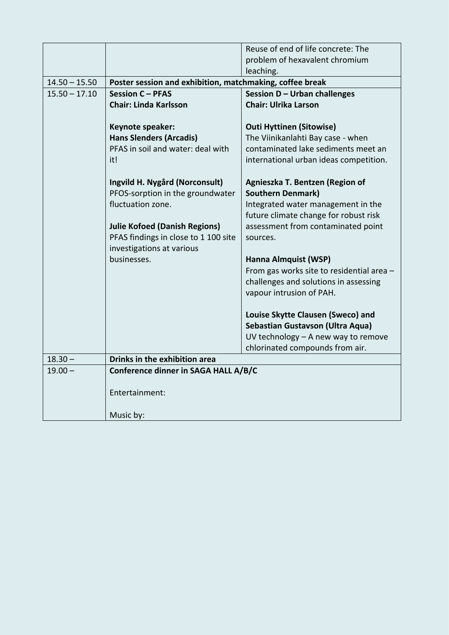|                 |                                                          | Reuse of end of life concrete: The<br>problem of hexavalent chromium |  |
|-----------------|----------------------------------------------------------|----------------------------------------------------------------------|--|
|                 |                                                          | leaching.                                                            |  |
| $14.50 - 15.50$ | Poster session and exhibition, matchmaking, coffee break |                                                                      |  |
| $15.50 - 17.10$ | <b>Session C - PFAS</b>                                  | Session D - Urban challenges                                         |  |
|                 | <b>Chair: Linda Karlsson</b>                             | <b>Chair: Ulrika Larson</b>                                          |  |
|                 |                                                          |                                                                      |  |
|                 | Keynote speaker:                                         | <b>Outi Hyttinen (Sitowise)</b>                                      |  |
|                 | <b>Hans Slenders (Arcadis)</b>                           | The Viinikanlahti Bay case - when                                    |  |
|                 | PFAS in soil and water: deal with                        | contaminated lake sediments meet an                                  |  |
|                 | it!                                                      | international urban ideas competition.                               |  |
|                 | Ingvild H. Nygård (Norconsult)                           | Agnieszka T. Bentzen (Region of                                      |  |
|                 | PFOS-sorption in the groundwater                         | <b>Southern Denmark)</b>                                             |  |
|                 | fluctuation zone.                                        | Integrated water management in the                                   |  |
|                 |                                                          | future climate change for robust risk                                |  |
|                 | <b>Julie Kofoed (Danish Regions)</b>                     | assessment from contaminated point                                   |  |
|                 | PFAS findings in close to 1 100 site                     | sources.                                                             |  |
|                 | investigations at various                                |                                                                      |  |
|                 | businesses.                                              | Hanna Almquist (WSP)                                                 |  |
|                 |                                                          | From gas works site to residential area -                            |  |
|                 |                                                          | challenges and solutions in assessing                                |  |
|                 |                                                          | vapour intrusion of PAH.                                             |  |
|                 |                                                          | Louise Skytte Clausen (Sweco) and                                    |  |
|                 |                                                          | Sebastian Gustavson (Ultra Aqua)                                     |  |
|                 |                                                          | UV technology - A new way to remove                                  |  |
|                 |                                                          | chlorinated compounds from air.                                      |  |
| $18.30 -$       | Drinks in the exhibition area                            |                                                                      |  |
| $19.00 -$       | Conference dinner in SAGA HALL A/B/C                     |                                                                      |  |
|                 | Entertainment:                                           |                                                                      |  |
|                 | Music by:                                                |                                                                      |  |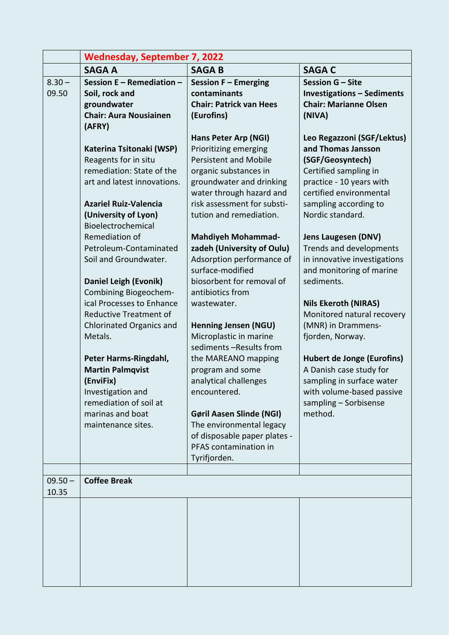|           | <b>Wednesday, September 7, 2022</b>                |                                               |                                        |
|-----------|----------------------------------------------------|-----------------------------------------------|----------------------------------------|
|           | <b>SAGA A</b>                                      | <b>SAGAB</b>                                  | <b>SAGA C</b>                          |
| $8.30 -$  | Session E - Remediation -                          | Session F - Emerging                          | Session G - Site                       |
| 09.50     | Soil, rock and                                     | contaminants                                  | <b>Investigations - Sediments</b>      |
|           | groundwater                                        | <b>Chair: Patrick van Hees</b>                | <b>Chair: Marianne Olsen</b>           |
|           | <b>Chair: Aura Nousiainen</b>                      | (Eurofins)                                    | (NIVA)                                 |
|           | (AFRY)                                             |                                               |                                        |
|           |                                                    | Hans Peter Arp (NGI)                          | Leo Regazzoni (SGF/Lektus)             |
|           | Katerina Tsitonaki (WSP)                           | Prioritizing emerging                         | and Thomas Jansson                     |
|           | Reagents for in situ                               | <b>Persistent and Mobile</b>                  | (SGF/Geosyntech)                       |
|           | remediation: State of the                          | organic substances in                         | Certified sampling in                  |
|           | art and latest innovations.                        | groundwater and drinking                      | practice - 10 years with               |
|           |                                                    | water through hazard and                      | certified environmental                |
|           | <b>Azariel Ruiz-Valencia</b>                       | risk assessment for substi-                   | sampling according to                  |
|           | (University of Lyon)                               | tution and remediation.                       | Nordic standard.                       |
|           | Bioelectrochemical                                 |                                               |                                        |
|           | Remediation of                                     | <b>Mahdiyeh Mohammad-</b>                     | <b>Jens Laugesen (DNV)</b>             |
|           | Petroleum-Contaminated                             | zadeh (University of Oulu)                    | Trends and developments                |
|           | Soil and Groundwater.                              | Adsorption performance of<br>surface-modified | in innovative investigations           |
|           |                                                    | biosorbent for removal of                     | and monitoring of marine<br>sediments. |
|           | Daniel Leigh (Evonik)                              | antibiotics from                              |                                        |
|           | Combining Biogeochem-<br>ical Processes to Enhance | wastewater.                                   | <b>Nils Ekeroth (NIRAS)</b>            |
|           | <b>Reductive Treatment of</b>                      |                                               | Monitored natural recovery             |
|           | <b>Chlorinated Organics and</b>                    | <b>Henning Jensen (NGU)</b>                   | (MNR) in Drammens-                     |
|           | Metals.                                            | Microplastic in marine                        | fjorden, Norway.                       |
|           |                                                    | sediments -Results from                       |                                        |
|           | Peter Harms-Ringdahl,                              | the MAREANO mapping                           | <b>Hubert de Jonge (Eurofins)</b>      |
|           | <b>Martin Palmqvist</b>                            | program and some                              | A Danish case study for                |
|           | (EnviFix)                                          | analytical challenges                         | sampling in surface water              |
|           | Investigation and                                  | encountered.                                  | with volume-based passive              |
|           | remediation of soil at                             |                                               | sampling - Sorbisense                  |
|           | marinas and boat                                   | <b>Gøril Aasen Slinde (NGI)</b>               | method.                                |
|           | maintenance sites.                                 | The environmental legacy                      |                                        |
|           |                                                    | of disposable paper plates -                  |                                        |
|           |                                                    | PFAS contamination in                         |                                        |
|           |                                                    | Tyrifjorden.                                  |                                        |
|           |                                                    |                                               |                                        |
| $09.50 -$ | <b>Coffee Break</b>                                |                                               |                                        |
| 10.35     |                                                    |                                               |                                        |
|           |                                                    |                                               |                                        |
|           |                                                    |                                               |                                        |
|           |                                                    |                                               |                                        |
|           |                                                    |                                               |                                        |
|           |                                                    |                                               |                                        |
|           |                                                    |                                               |                                        |
|           |                                                    |                                               |                                        |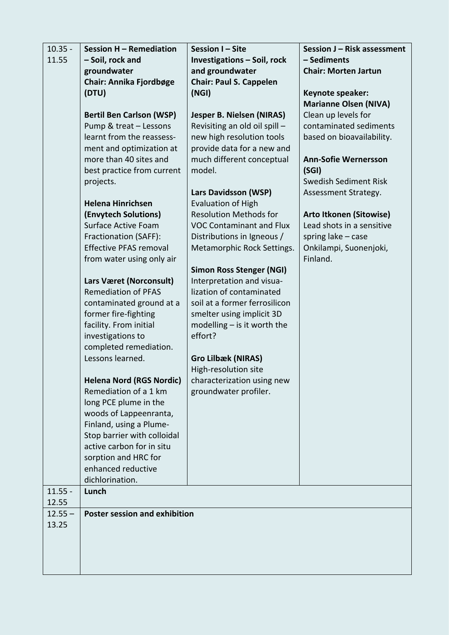| $10.35 -$ | Session H - Remediation                          | Session I-Site                                             | Session J - Risk assessment    |
|-----------|--------------------------------------------------|------------------------------------------------------------|--------------------------------|
| 11.55     | - Soil, rock and                                 | <b>Investigations - Soil, rock</b>                         | - Sediments                    |
|           | groundwater                                      | and groundwater                                            | <b>Chair: Morten Jartun</b>    |
|           | Chair: Annika Fjordbøge                          | <b>Chair: Paul S. Cappelen</b>                             |                                |
|           | (DTU)                                            | (NGI)                                                      | Keynote speaker:               |
|           |                                                  |                                                            | <b>Marianne Olsen (NIVA)</b>   |
|           | <b>Bertil Ben Carlson (WSP)</b>                  | Jesper B. Nielsen (NIRAS)                                  | Clean up levels for            |
|           | Pump & treat - Lessons                           | Revisiting an old oil spill -                              | contaminated sediments         |
|           | learnt from the reassess-                        | new high resolution tools                                  | based on bioavailability.      |
|           | ment and optimization at                         | provide data for a new and                                 |                                |
|           | more than 40 sites and                           | much different conceptual                                  | <b>Ann-Sofie Wernersson</b>    |
|           | best practice from current                       | model.                                                     | (SGI)                          |
|           | projects.                                        |                                                            | <b>Swedish Sediment Risk</b>   |
|           |                                                  | <b>Lars Davidsson (WSP)</b>                                | Assessment Strategy.           |
|           | <b>Helena Hinrichsen</b>                         | <b>Evaluation of High</b>                                  |                                |
|           | (Envytech Solutions)                             | <b>Resolution Methods for</b>                              | <b>Arto Itkonen (Sitowise)</b> |
|           | <b>Surface Active Foam</b>                       | <b>VOC Contaminant and Flux</b>                            | Lead shots in a sensitive      |
|           | Fractionation (SAFF):                            | Distributions in Igneous /                                 | spring lake - case             |
|           | <b>Effective PFAS removal</b>                    | Metamorphic Rock Settings.                                 | Onkilampi, Suonenjoki,         |
|           | from water using only air                        |                                                            | Finland.                       |
|           |                                                  | <b>Simon Ross Stenger (NGI)</b>                            |                                |
|           | Lars Været (Norconsult)                          | Interpretation and visua-                                  |                                |
|           | <b>Remediation of PFAS</b>                       | lization of contaminated<br>soil at a former ferrosilicon  |                                |
|           | contaminated ground at a<br>former fire-fighting | smelter using implicit 3D                                  |                                |
|           | facility. From initial                           | modelling $-$ is it worth the                              |                                |
|           | investigations to                                | effort?                                                    |                                |
|           | completed remediation.                           |                                                            |                                |
|           | Lessons learned.                                 | <b>Gro Lilbæk (NIRAS)</b>                                  |                                |
|           |                                                  | High-resolution site                                       |                                |
|           |                                                  | <b>Helena Nord (RGS Nordic)</b> characterization using new |                                |
|           | Remediation of a 1 km                            | groundwater profiler.                                      |                                |
|           | long PCE plume in the                            |                                                            |                                |
|           | woods of Lappeenranta,                           |                                                            |                                |
|           | Finland, using a Plume-                          |                                                            |                                |
|           | Stop barrier with colloidal                      |                                                            |                                |
|           | active carbon for in situ                        |                                                            |                                |
|           | sorption and HRC for                             |                                                            |                                |
|           | enhanced reductive                               |                                                            |                                |
|           | dichlorination.                                  |                                                            |                                |
| $11.55 -$ | Lunch                                            |                                                            |                                |
| 12.55     |                                                  |                                                            |                                |
| $12.55 -$ | <b>Poster session and exhibition</b>             |                                                            |                                |
| 13.25     |                                                  |                                                            |                                |
|           |                                                  |                                                            |                                |
|           |                                                  |                                                            |                                |
|           |                                                  |                                                            |                                |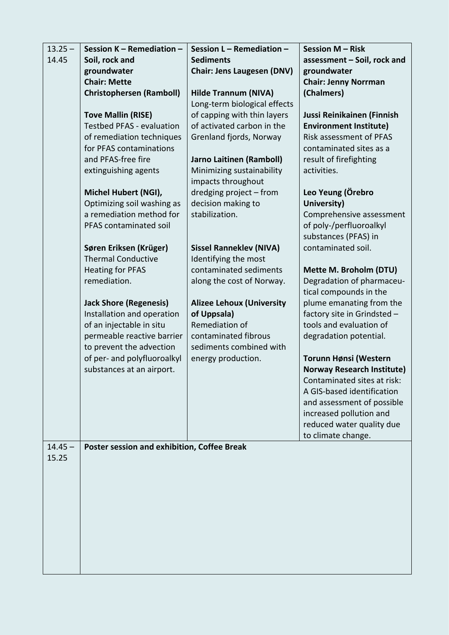| Soil, rock and<br><b>Sediments</b><br>14.45<br>assessment - Soil, rock and<br>groundwater<br><b>Chair: Jens Laugesen (DNV)</b><br>groundwater<br><b>Chair: Mette</b><br><b>Chair: Jenny Norrman</b><br>(Chalmers)<br><b>Christophersen (Ramboll)</b><br><b>Hilde Trannum (NIVA)</b><br>Long-term biological effects |  |
|---------------------------------------------------------------------------------------------------------------------------------------------------------------------------------------------------------------------------------------------------------------------------------------------------------------------|--|
|                                                                                                                                                                                                                                                                                                                     |  |
|                                                                                                                                                                                                                                                                                                                     |  |
|                                                                                                                                                                                                                                                                                                                     |  |
|                                                                                                                                                                                                                                                                                                                     |  |
|                                                                                                                                                                                                                                                                                                                     |  |
| <b>Tove Mallin (RISE)</b><br>of capping with thin layers<br>Jussi Reinikainen (Finnish                                                                                                                                                                                                                              |  |
| of activated carbon in the<br><b>Testbed PFAS - evaluation</b><br><b>Environment Institute)</b>                                                                                                                                                                                                                     |  |
| <b>Risk assessment of PFAS</b><br>of remediation techniques<br>Grenland fjords, Norway                                                                                                                                                                                                                              |  |
| for PFAS contaminations<br>contaminated sites as a                                                                                                                                                                                                                                                                  |  |
| and PFAS-free fire<br><b>Jarno Laitinen (Ramboll)</b><br>result of firefighting                                                                                                                                                                                                                                     |  |
| extinguishing agents<br>Minimizing sustainability<br>activities.                                                                                                                                                                                                                                                    |  |
| impacts throughout                                                                                                                                                                                                                                                                                                  |  |
| Leo Yeung (Örebro<br>Michel Hubert (NGI),<br>dredging project - from                                                                                                                                                                                                                                                |  |
| Optimizing soil washing as<br>decision making to<br>University)<br>a remediation method for<br>stabilization.<br>Comprehensive assessment                                                                                                                                                                           |  |
| PFAS contaminated soil<br>of poly-/perfluoroalkyl                                                                                                                                                                                                                                                                   |  |
| substances (PFAS) in                                                                                                                                                                                                                                                                                                |  |
| Søren Eriksen (Krüger)<br>contaminated soil.<br><b>Sissel Ranneklev (NIVA)</b>                                                                                                                                                                                                                                      |  |
| <b>Thermal Conductive</b><br>Identifying the most                                                                                                                                                                                                                                                                   |  |
| contaminated sediments<br><b>Heating for PFAS</b><br>Mette M. Broholm (DTU)                                                                                                                                                                                                                                         |  |
| remediation.<br>along the cost of Norway.<br>Degradation of pharmaceu-                                                                                                                                                                                                                                              |  |
| tical compounds in the                                                                                                                                                                                                                                                                                              |  |
| <b>Jack Shore (Regenesis)</b><br><b>Alizee Lehoux (University</b><br>plume emanating from the                                                                                                                                                                                                                       |  |
| of Uppsala)<br>Installation and operation<br>factory site in Grindsted -                                                                                                                                                                                                                                            |  |
| of an injectable in situ<br>Remediation of<br>tools and evaluation of                                                                                                                                                                                                                                               |  |
| permeable reactive barrier<br>contaminated fibrous<br>degradation potential.                                                                                                                                                                                                                                        |  |
| sediments combined with<br>to prevent the advection                                                                                                                                                                                                                                                                 |  |
| of per- and polyfluoroalkyl<br>Torunn Hønsi (Western<br>energy production.                                                                                                                                                                                                                                          |  |
| <b>Norway Research Institute)</b><br>substances at an airport.                                                                                                                                                                                                                                                      |  |
| Contaminated sites at risk:                                                                                                                                                                                                                                                                                         |  |
| A GIS-based identification                                                                                                                                                                                                                                                                                          |  |
| and assessment of possible                                                                                                                                                                                                                                                                                          |  |
| increased pollution and                                                                                                                                                                                                                                                                                             |  |
| reduced water quality due                                                                                                                                                                                                                                                                                           |  |
| to climate change.<br>Poster session and exhibition, Coffee Break<br>$14.45 -$                                                                                                                                                                                                                                      |  |
| 15.25                                                                                                                                                                                                                                                                                                               |  |
|                                                                                                                                                                                                                                                                                                                     |  |
|                                                                                                                                                                                                                                                                                                                     |  |
|                                                                                                                                                                                                                                                                                                                     |  |
|                                                                                                                                                                                                                                                                                                                     |  |
|                                                                                                                                                                                                                                                                                                                     |  |
|                                                                                                                                                                                                                                                                                                                     |  |
|                                                                                                                                                                                                                                                                                                                     |  |
|                                                                                                                                                                                                                                                                                                                     |  |
|                                                                                                                                                                                                                                                                                                                     |  |